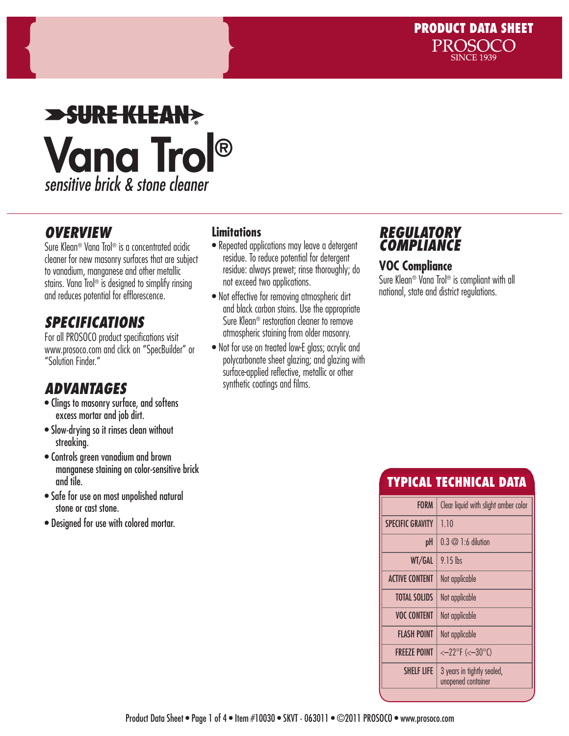### **>SURE KLEAN>** Vana Trol® *sensitive brick & stone cleaner*

#### *OVERVIEW*

Sure Klean® Vana Trol® is a concentrated acidic cleaner for new masonry surfaces that are subject to vanadium, manganese and other metallic stains. Vana Trol® is designed to simplify rinsing and reduces potential for efflorescence.

### *SPECIFICATIONS*

For all PROSOCO product specifications visit www.prosoco.com and click on "SpecBuilder" or "Solution Finder."

### *ADVANTAGES*

- Clings to masonry surface, and softens excess mortar and job dirt.
- Slow-drying so it rinses clean without streaking.
- Controls green vanadium and brown manganese staining on color-sensitive brick and tile.
- Safe for use on most unpolished natural stone or cast stone.
- Designed for use with colored mortar.

#### **Limitations**

- Repeated applications may leave a detergent residue. To reduce potential for detergent residue: always prewet; rinse thoroughly; do not exceed two applications.
- Not effective for removing atmospheric dirt and black carbon stains. Use the appropriate Sure Klean® restoration cleaner to remove atmospheric staining from older masonry.
- Not for use on treated low-E glass; acrylic and polycarbonate sheet glazing; and glazing with surface-applied reflective, metallic or other synthetic coatings and films.

#### *REGULATORY COMPLIANCE*

#### **VOC Compliance**

Sure Klean® Vana Trol® is compliant with all national, state and district regulations.

### TYPICAL TECHNICAL DATA

| <b>FORM</b><br><b>SPECIFIC GRAVITY</b><br>1.10<br>$0.3 \oslash 1:6$ dilution<br>рH<br>$9.15$ lbs<br>WT/GAL<br><b>ACTIVE CONTENT</b><br>Not applicable |                     |                                      |
|-------------------------------------------------------------------------------------------------------------------------------------------------------|---------------------|--------------------------------------|
|                                                                                                                                                       |                     | Clear liquid with slight amber color |
|                                                                                                                                                       |                     |                                      |
|                                                                                                                                                       |                     |                                      |
|                                                                                                                                                       |                     |                                      |
|                                                                                                                                                       |                     |                                      |
|                                                                                                                                                       | <b>TOTAL SOLIDS</b> | Not applicable                       |
| <b>VOC CONTENT</b><br>Not applicable                                                                                                                  |                     |                                      |
| <b>FLASH POINT</b><br>Not applicable                                                                                                                  |                     |                                      |
| <b>FREEZE POINT</b><br>$<-22^{\circ}F$ (< $-30^{\circ}C$ )                                                                                            |                     |                                      |
| <b>SHELF LIFE</b><br>3 years in tightly sealed,<br>unopened container                                                                                 |                     |                                      |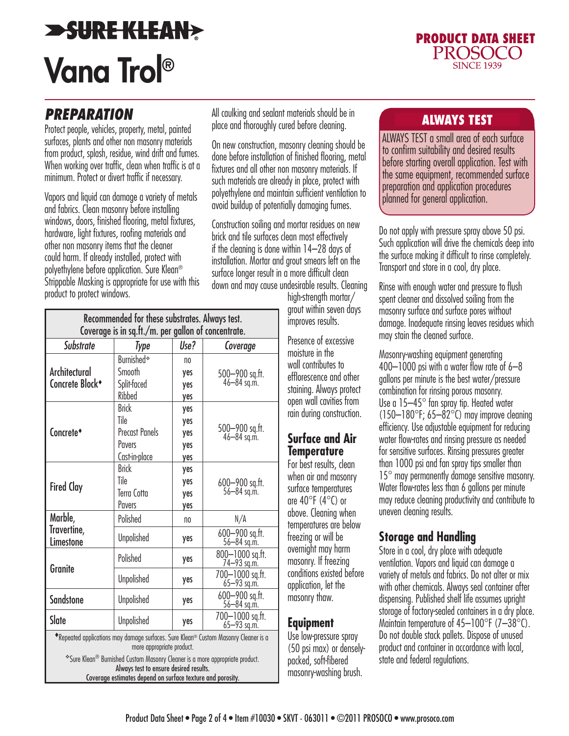## **SURE KLEAN>** Vana Trol®



#### *PREPARATION*

Protect people, vehicles, property, metal, painted surfaces, plants and other non masonry materials from product, splash, residue, wind drift and fumes. When working over traffic, clean when traffic is at a minimum. Protect or divert traffic if necessary.

Vapors and liquid can damage a variety of metals and fabrics. Clean masonry before installing windows, doors, finished flooring, metal fixtures, hardware, light fixtures, roofing materials and other non masonry items that the cleaner could harm. If already installed, protect with polyethylene before application. Sure Klean® Strippable Masking is appropriate for use with this product to protect windows.

| Recommended for these substrates. Always test.<br>Coverage is in sq.ft./m. per gallon of concentrate.                                                                                                                                                                                                    |                                                                          |                                 |                                    |  |
|----------------------------------------------------------------------------------------------------------------------------------------------------------------------------------------------------------------------------------------------------------------------------------------------------------|--------------------------------------------------------------------------|---------------------------------|------------------------------------|--|
| <b>Substrate</b>                                                                                                                                                                                                                                                                                         | Type                                                                     | Use?                            | Coverage                           |  |
| Architectural<br>Concrete Block <sup>+</sup>                                                                                                                                                                                                                                                             | Burnished*<br>Smooth<br>Split-faced<br>Ribbed                            | no<br>yes<br>yes<br>yes         | 500-900 sq.ft.<br>46-84 sq.m.      |  |
| Concrete <sup>*</sup>                                                                                                                                                                                                                                                                                    | <b>Brick</b><br>Tile<br><b>Precast Panels</b><br>Pavers<br>Cast-in-place | yes<br>yes<br>yes<br>yes<br>yes | 500-900 sq.ft.<br>46-84 sq.m.      |  |
| <b>Fired Clay</b>                                                                                                                                                                                                                                                                                        | <b>Brick</b><br>Tile<br>Terra Cotta<br>Pavers                            | yes<br>yes<br>yes<br>yes        | 600-900 sq.ft.<br>56-84 sq.m.      |  |
| Marble,<br>Travertine,<br>Limestone                                                                                                                                                                                                                                                                      | Polished                                                                 | no                              | N/A                                |  |
|                                                                                                                                                                                                                                                                                                          | <b>Unpolished</b>                                                        | yes                             | 600-900 sq.ft.<br>56-84 sq.m.      |  |
| Granite                                                                                                                                                                                                                                                                                                  | Polished                                                                 | yes                             | 800-1000 sq.ft.<br>74-93 sq.m.     |  |
|                                                                                                                                                                                                                                                                                                          | <b>Unpolished</b>                                                        | yes                             | 700-1000 sq.ft.<br>$65 - 93$ sq.m. |  |
| <b>Sandstone</b>                                                                                                                                                                                                                                                                                         | <b>Unpolished</b>                                                        | yes                             | $600 - 900$ sq.ft.<br>56-84 sq.m.  |  |
| Slate                                                                                                                                                                                                                                                                                                    | <b>Unpolished</b>                                                        | yes                             | 700-1000 sq.ft.<br>65-93 sq.m.     |  |
| *Repeated applications may damage surfaces. Sure Klean® Custom Masonry Cleaner is a<br>more appropriate product.<br>*Sure Klean® Burnished Custom Masonry Cleaner is a more appropriate product.<br>Always test to ensure desired results.<br>Coverage estimates depend on surface texture and porosity. |                                                                          |                                 |                                    |  |

All caulking and sealant materials should be in **ALWAYS TEST**<br>place and thoroughly cured before cleaning.

On new construction, masonry cleaning should be done before installation of finished flooring, metal fixtures and all other non masonry materials. If such materials are already in place, protect with polyethylene and maintain sufficient ventilation to avoid buildup of potentially damaging fumes.

Construction soiling and mortar residues on new brick and tile surfaces clean most effectively if the cleaning is done within 14–28 days of installation. Mortar and grout smears left on the surface longer result in a more difficult clean down and may cause undesirable results. Cleaning

high-strength mortar/ grout within seven days improves results.

Presence of excessive moisture in the wall contributes to efflorescence and other staining. Always protect open wall cavities from rain during construction.

#### **Surface and Air Temperature**

For best results, clean when air and masonry surface temperatures are  $40^{\circ}$ F (4 $^{\circ}$ C) or above. Cleaning when temperatures are below freezing or will be overnight may harm masonry. If freezing conditions existed before application, let the masonry thaw.

#### **Equipment**

Use low-pressure spray (50 psi max) or denselypacked, soft-fibered masonry-washing brush.

ALWAYS TEST a small area of each surface to confirm suitability and desired results before starting overall application. Test with the same equipment, recommended surface preparation and application procedures planned for general application.

Do not apply with pressure spray above 50 psi. Such application will drive the chemicals deep into the surface making it difficult to rinse completely. Transport and store in a cool, dry place.

Rinse with enough water and pressure to flush spent cleaner and dissolved soiling from the masonry surface and surface pores without damage. Inadequate rinsing leaves residues which may stain the cleaned surface.

Masonry-washing equipment generating 400–1000 psi with a water flow rate of 6–8 gallons per minute is the best water/pressure combination for rinsing porous masonry. Use a 15–45° fan spray tip. Heated water  $(150-180^{\circ}F; 65-82^{\circ}C)$  may improve cleaning efficiency. Use adjustable equipment for reducing water flow-rates and rinsing pressure as needed for sensitive surfaces. Rinsing pressures greater than 1000 psi and fan spray tips smaller than 15° may permanently damage sensitive masonry. Water flow-rates less than 6 gallons per minute may reduce cleaning productivity and contribute to uneven cleaning results.

#### **Storage and Handling**

Store in a cool, dry place with adequate ventilation. Vapors and liquid can damage a variety of metals and fabrics. Do not alter or mix with other chemicals. Always seal container after dispensing. Published shelf life assumes upright storage of factory-sealed containers in a dry place. Maintain temperature of 45–100°F (7–38°C). Do not double stack pallets. Dispose of unused product and container in accordance with local, state and federal regulations.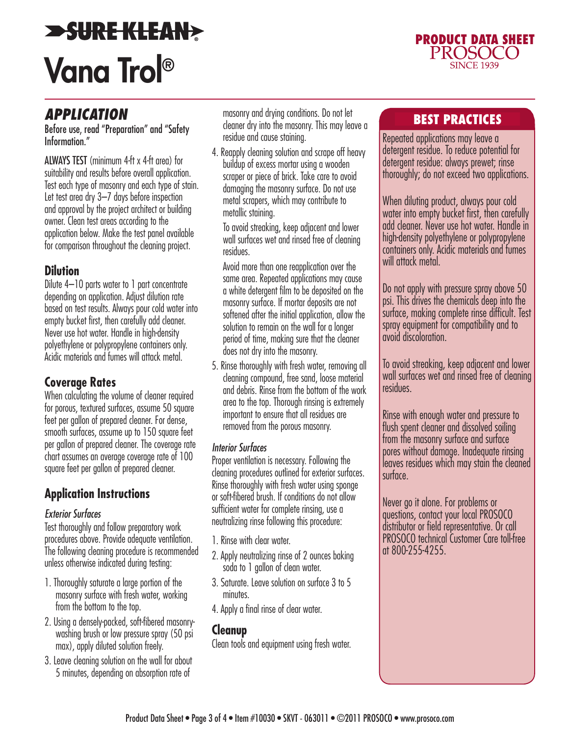### *SURE KLEAN>* Vana Trol®



#### *APPLICATION*

Before use, read "Preparation" and "Safety Information."

ALWAYS TEST (minimum 4-ft x 4-ft area) for suitability and results before overall application. Test each type of masonry and each type of stain. Let test area dry 3–7 days before inspection and approval by the project architect or building owner. Clean test areas according to the application below. Make the test panel available for comparison throughout the cleaning project.

#### **Dilution**

Dilute 4–10 parts water to 1 part concentrate depending on application. Adjust dilution rate based on test results. Always pour cold water into empty bucket first, then carefully add cleaner. Never use hot water. Handle in high-density polyethylene or polypropylene containers only. Acidic materials and fumes will attack metal.

#### **Coverage Rates**

When calculating the volume of cleaner required for porous, textured surfaces, assume 50 square feet per gallon of prepared cleaner. For dense, smooth surfaces, assume up to 150 square feet per gallon of prepared cleaner. The coverage rate chart assumes an average coverage rate of 100 square feet per gallon of prepared cleaner.

#### **Application Instructions**

#### *Exterior Surfaces*

Test thoroughly and follow preparatory work procedures above. Provide adequate ventilation. The following cleaning procedure is recommended unless otherwise indicated during testing:

- 1. Thoroughly saturate a large portion of the masonry surface with fresh water, working from the bottom to the top.
- 2. Using a densely-packed, soft-fibered masonrywashing brush or low pressure spray (50 psi max), apply diluted solution freely.
- 3. Leave cleaning solution on the wall for about 5 minutes, depending on absorption rate of

masonry and drying conditions. Do not let cleaner dry into the masonry. This may leave a residue and cause staining.

4. Reapply cleaning solution and scrape off heavy buildup of excess mortar using a wooden scraper or piece of brick. Take care to avoid damaging the masonry surface. Do not use metal scrapers, which may contribute to metallic staining.

To avoid streaking, keep adjacent and lower wall surfaces wet and rinsed free of cleaning residues.

Avoid more than one reapplication over the same area. Repeated applications may cause a white detergent film to be deposited on the masonry surface. If mortar deposits are not softened after the initial application, allow the solution to remain on the wall for a longer period of time, making sure that the cleaner does not dry into the masonry.

5. Rinse thoroughly with fresh water, removing all cleaning compound, free sand, loose material and debris. Rinse from the bottom of the work area to the top. Thorough rinsing is extremely important to ensure that all residues are removed from the porous masonry.

#### *Interior Surfaces*

Proper ventilation is necessary. Following the cleaning procedures outlined for exterior surfaces. Rinse thoroughly with fresh water using sponge or soft-fibered brush. If conditions do not allow sufficient water for complete rinsing, use a neutralizing rinse following this procedure:

- 1. Rinse with clear water.
- 2. Apply neutralizing rinse of 2 ounces baking soda to 1 gallon of clean water.
- 3. Saturate. Leave solution on surface 3 to 5 minutes.
- 4. Apply a final rinse of clear water.

#### **Cleanup**

Clean tools and equipment using fresh water.

#### BEST PRACTICES

Repeated applications may leave a detergent residue. To reduce potential for detergent residue: always prewet; rinse thoroughly; do not exceed two applications.

When diluting product, always pour cold water into empty bucket first, then carefully add cleaner. Never use hot water. Handle in high-density polyethylene or polypropylene containers only. Acidic materials and fumes will attack metal.

Do not apply with pressure spray above 50 psi. This drives the chemicals deep into the surface, making complete rinse difficult. Test spray equipment for compatibility and to avoid discoloration.

To avoid streaking, keep adjacent and lower wall surfaces wet and rinsed free of cleaning residues.

Rinse with enough water and pressure to flush spent cleaner and dissolved soiling from the masonry surface and surface pores without damage. Inadequate rinsing leaves residues which may stain the cleaned surface.

Never go it alone. For problems or questions, contact your local PROSOCO distributor or field representative. Or call PROSOCO technical Customer Care toll-free at 800-255-4255.